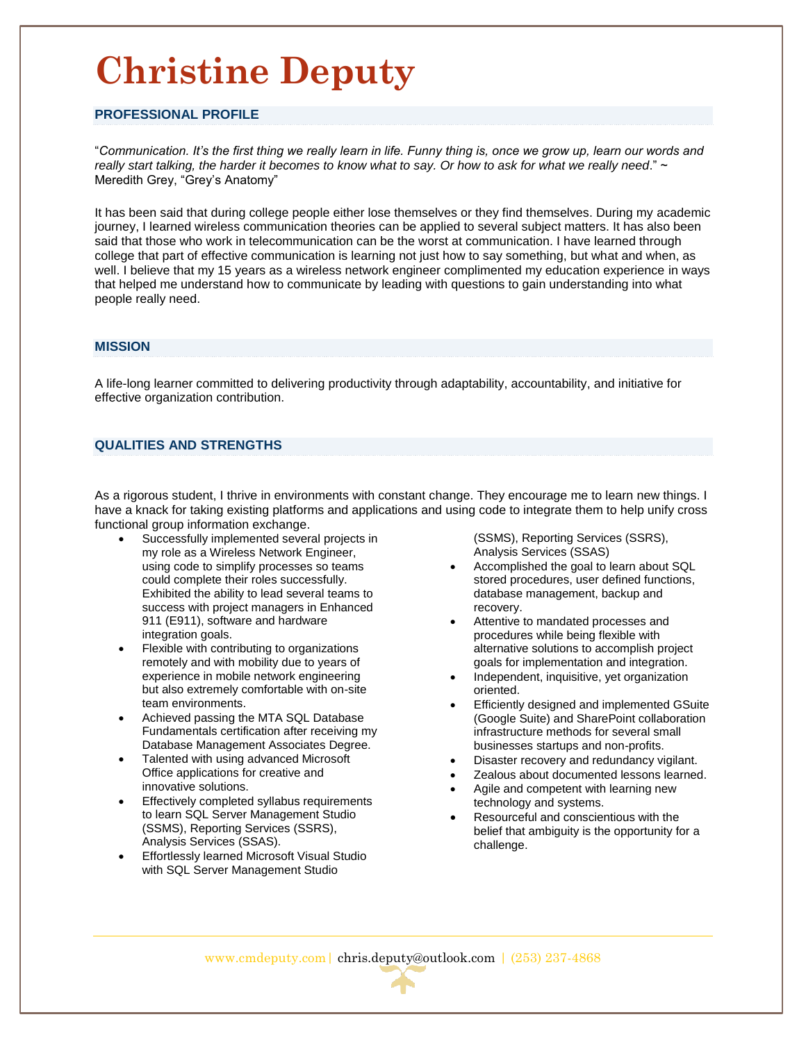## **Christine Deputy**

#### **PROFESSIONAL PROFILE**

"*Communication. It's the first thing we really learn in life. Funny thing is, once we grow up, learn our words and really start talking, the harder it becomes to know what to say. Or how to ask for what we really need*." ~ Meredith Grey, "Grey's Anatomy"

It has been said that during college people either lose themselves or they find themselves. During my academic journey, I learned wireless communication theories can be applied to several subject matters. It has also been said that those who work in telecommunication can be the worst at communication. I have learned through college that part of effective communication is learning not just how to say something, but what and when, as well. I believe that my 15 years as a wireless network engineer complimented my education experience in ways that helped me understand how to communicate by leading with questions to gain understanding into what people really need.

### **MISSION**

A life-long learner committed to delivering productivity through adaptability, accountability, and initiative for effective organization contribution.

#### **QUALITIES AND STRENGTHS**

As a rigorous student, I thrive in environments with constant change. They encourage me to learn new things. I have a knack for taking existing platforms and applications and using code to integrate them to help unify cross functional group information exchange.

- Successfully implemented several projects in my role as a Wireless Network Engineer, using code to simplify processes so teams could complete their roles successfully. Exhibited the ability to lead several teams to success with project managers in Enhanced 911 (E911), software and hardware integration goals.
- Flexible with contributing to organizations remotely and with mobility due to years of experience in mobile network engineering but also extremely comfortable with on-site team environments.
- Achieved passing the MTA SQL Database Fundamentals certification after receiving my Database Management Associates Degree.
- Talented with using advanced Microsoft Office applications for creative and innovative solutions.
- Effectively completed syllabus requirements to learn SQL Server Management Studio (SSMS), Reporting Services (SSRS), Analysis Services (SSAS).
- Effortlessly learned Microsoft Visual Studio with SQL Server Management Studio

(SSMS), Reporting Services (SSRS), Analysis Services (SSAS)

- Accomplished the goal to learn about SQL stored procedures, user defined functions, database management, backup and recovery.
- Attentive to mandated processes and procedures while being flexible with alternative solutions to accomplish project goals for implementation and integration.
- Independent, inquisitive, yet organization oriented.
- Efficiently designed and implemented GSuite (Google Suite) and SharePoint collaboration infrastructure methods for several small businesses startups and non-profits.
- Disaster recovery and redundancy vigilant.
- Zealous about documented lessons learned.
- Agile and competent with learning new technology and systems.
- Resourceful and conscientious with the belief that ambiguity is the opportunity for a challenge.

www.cmdeputy.com| chris.deputy@outlook.com | (253) 237-4868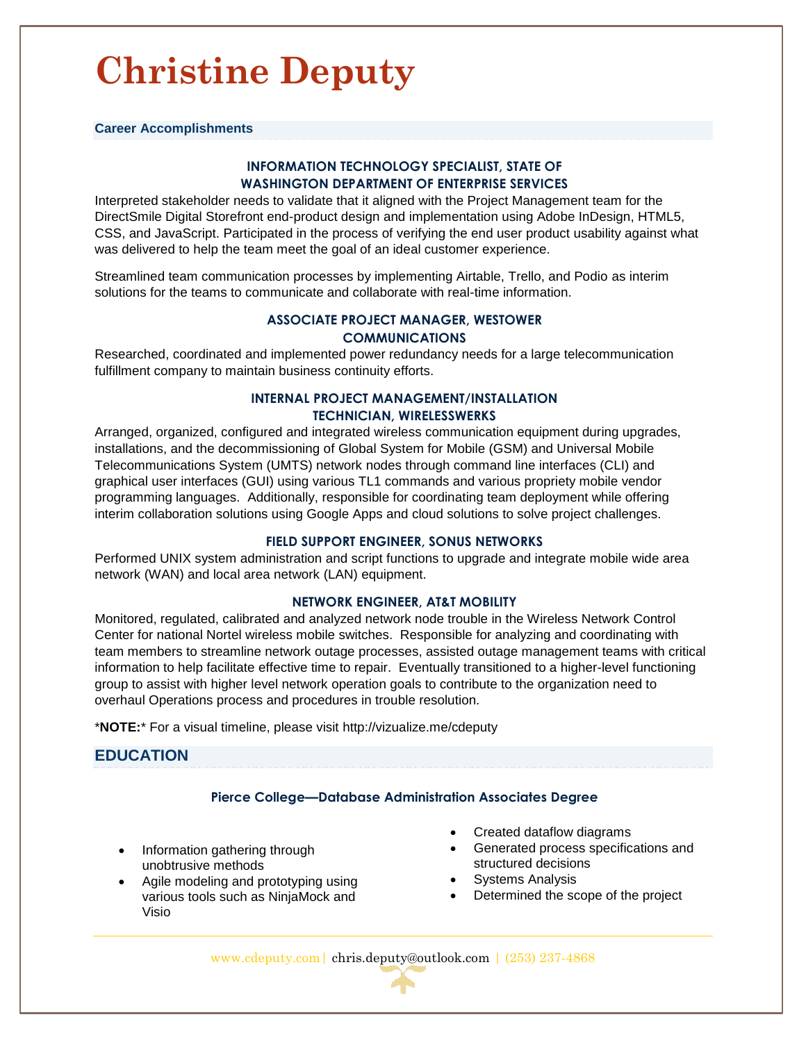# **Christine Deputy**

**Career Accomplishments**

## **INFORMATION TECHNOLOGY SPECIALIST, STATE OF WASHINGTON DEPARTMENT OF ENTERPRISE SERVICES**

Interpreted stakeholder needs to validate that it aligned with the Project Management team for the DirectSmile Digital Storefront end-product design and implementation using Adobe InDesign, HTML5, CSS, and JavaScript. Participated in the process of verifying the end user product usability against what was delivered to help the team meet the goal of an ideal customer experience.

Streamlined team communication processes by implementing Airtable, Trello, and Podio as interim solutions for the teams to communicate and collaborate with real-time information.

## **ASSOCIATE PROJECT MANAGER, WESTOWER COMMUNICATIONS**

Researched, coordinated and implemented power redundancy needs for a large telecommunication fulfillment company to maintain business continuity efforts.

### **INTERNAL PROJECT MANAGEMENT/INSTALLATION TECHNICIAN, WIRELESSWERKS**

Arranged, organized, configured and integrated wireless communication equipment during upgrades, installations, and the decommissioning of Global System for Mobile (GSM) and Universal Mobile Telecommunications System (UMTS) network nodes through command line interfaces (CLI) and graphical user interfaces (GUI) using various TL1 commands and various propriety mobile vendor programming languages. Additionally, responsible for coordinating team deployment while offering interim collaboration solutions using Google Apps and cloud solutions to solve project challenges.

### **FIELD SUPPORT ENGINEER, SONUS NETWORKS**

Performed UNIX system administration and script functions to upgrade and integrate mobile wide area network (WAN) and local area network (LAN) equipment.

### **NETWORK ENGINEER, AT&T MOBILITY**

Monitored, regulated, calibrated and analyzed network node trouble in the Wireless Network Control Center for national Nortel wireless mobile switches. Responsible for analyzing and coordinating with team members to streamline network outage processes, assisted outage management teams with critical information to help facilitate effective time to repair. Eventually transitioned to a higher-level functioning group to assist with higher level network operation goals to contribute to the organization need to overhaul Operations process and procedures in trouble resolution.

\***NOTE:**\* For a visual timeline, please visit http://vizualize.me/cdeputy

## **EDUCATION**

### **Pierce College—Database Administration Associates Degree**

- Information gathering through unobtrusive methods
- Agile modeling and prototyping using various tools such as NinjaMock and Visio
- Created dataflow diagrams
- Generated process specifications and structured decisions
- Systems Analysis
- Determined the scope of the project

www.cdeputy.com| chris.deputy@outlook.com | (253) 237-4868